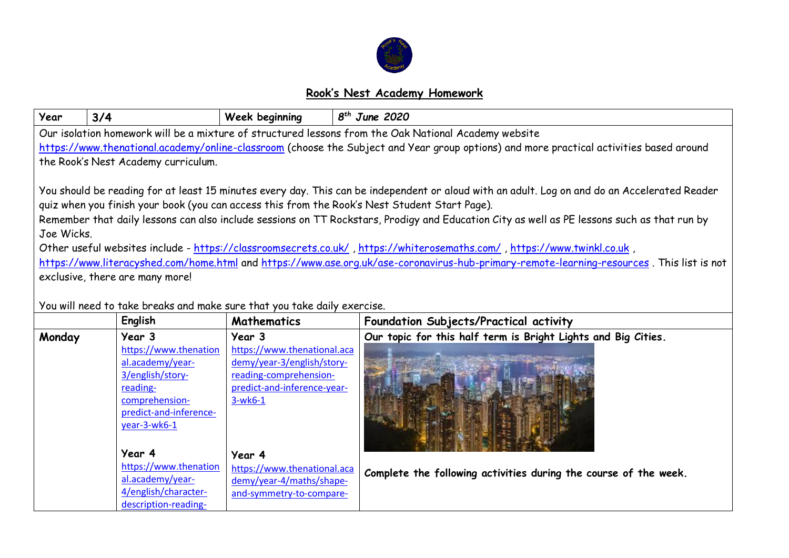

## **Rook's Nest Academy Homework**

| Year                                                                                                                                         | 3/4                                                                                                  | Week beginning                                          | $8th$ June 2020                                                                                                                             |  |  |  |  |  |
|----------------------------------------------------------------------------------------------------------------------------------------------|------------------------------------------------------------------------------------------------------|---------------------------------------------------------|---------------------------------------------------------------------------------------------------------------------------------------------|--|--|--|--|--|
|                                                                                                                                              | Our isolation homework will be a mixture of structured lessons from the Oak National Academy website |                                                         |                                                                                                                                             |  |  |  |  |  |
| https://www.thenational.academy/online-classroom (choose the Subject and Year group options) and more practical activities based around      |                                                                                                      |                                                         |                                                                                                                                             |  |  |  |  |  |
| the Rook's Nest Academy curriculum.                                                                                                          |                                                                                                      |                                                         |                                                                                                                                             |  |  |  |  |  |
|                                                                                                                                              |                                                                                                      |                                                         |                                                                                                                                             |  |  |  |  |  |
| You should be reading for at least 15 minutes every day. This can be independent or aloud with an adult. Log on and do an Accelerated Reader |                                                                                                      |                                                         |                                                                                                                                             |  |  |  |  |  |
|                                                                                                                                              |                                                                                                      |                                                         | quiz when you finish your book (you can access this from the Rook's Nest Student Start Page).                                               |  |  |  |  |  |
|                                                                                                                                              |                                                                                                      |                                                         | Remember that daily lessons can also include sessions on TT Rockstars, Prodigy and Education City as well as PE lessons such as that run by |  |  |  |  |  |
| Joe Wicks.                                                                                                                                   |                                                                                                      |                                                         |                                                                                                                                             |  |  |  |  |  |
| Other useful websites include - https://classroomsecrets.co.uk/, https://whiterosemaths.com/, https://www.twinkl.co.uk,                      |                                                                                                      |                                                         |                                                                                                                                             |  |  |  |  |  |
| https://www.literacyshed.com/home.html and https://www.ase.org.uk/ase-coronavirus-hub-primary-remote-learning-resources. This list is not    |                                                                                                      |                                                         |                                                                                                                                             |  |  |  |  |  |
| exclusive, there are many more!                                                                                                              |                                                                                                      |                                                         |                                                                                                                                             |  |  |  |  |  |
|                                                                                                                                              |                                                                                                      |                                                         |                                                                                                                                             |  |  |  |  |  |
|                                                                                                                                              | You will need to take breaks and make sure that you take daily exercise.                             |                                                         |                                                                                                                                             |  |  |  |  |  |
|                                                                                                                                              | English                                                                                              | <b>Mathematics</b>                                      | Foundation Subjects/Practical activity                                                                                                      |  |  |  |  |  |
| Monday                                                                                                                                       | Year 3                                                                                               | Year 3                                                  | Our topic for this half term is Bright Lights and Big Cities.                                                                               |  |  |  |  |  |
|                                                                                                                                              | https://www.thenation                                                                                | https://www.thenational.aca                             |                                                                                                                                             |  |  |  |  |  |
|                                                                                                                                              | al.academy/year-                                                                                     | demy/year-3/english/story-                              |                                                                                                                                             |  |  |  |  |  |
|                                                                                                                                              | 3/english/story-                                                                                     | reading-comprehension-                                  |                                                                                                                                             |  |  |  |  |  |
|                                                                                                                                              | reading-                                                                                             | predict-and-inference-year-                             |                                                                                                                                             |  |  |  |  |  |
|                                                                                                                                              | comprehension-                                                                                       | $3-wk6-1$                                               |                                                                                                                                             |  |  |  |  |  |
|                                                                                                                                              | predict-and-inference-                                                                               |                                                         |                                                                                                                                             |  |  |  |  |  |
|                                                                                                                                              | year-3-wk6-1                                                                                         |                                                         |                                                                                                                                             |  |  |  |  |  |
|                                                                                                                                              | Year 4                                                                                               |                                                         |                                                                                                                                             |  |  |  |  |  |
|                                                                                                                                              | https://www.thenation                                                                                | Year 4                                                  |                                                                                                                                             |  |  |  |  |  |
|                                                                                                                                              | al.academy/year-                                                                                     | https://www.thenational.aca<br>demy/year-4/maths/shape- | Complete the following activities during the course of the week.                                                                            |  |  |  |  |  |
|                                                                                                                                              | 4/english/character-                                                                                 | and-symmetry-to-compare-                                |                                                                                                                                             |  |  |  |  |  |
|                                                                                                                                              | description-reading-                                                                                 |                                                         |                                                                                                                                             |  |  |  |  |  |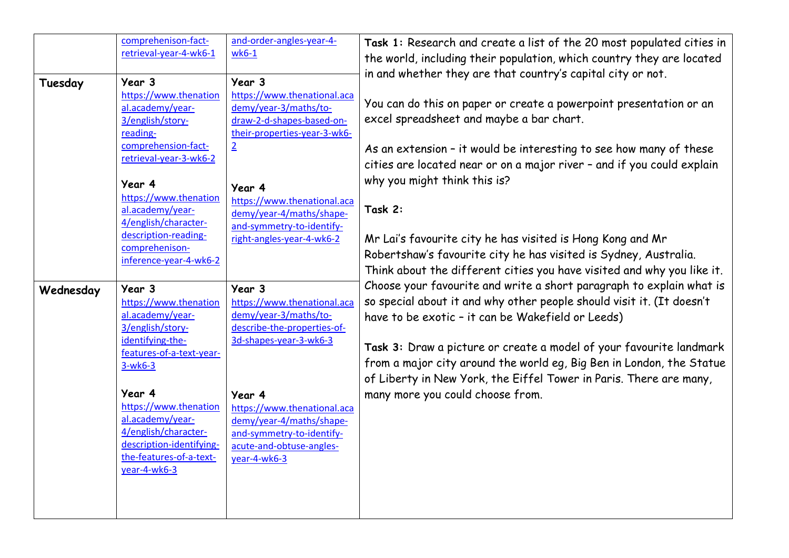| Tuesday   | comprehenison-fact-<br>retrieval-year-4-wk6-1<br>Year 3                                                 | and-order-angles-year-4-<br>$wk6-1$<br>Year 3                                                                                       | Task 1: Research and create a list of the 20 most populated cities in<br>the world, including their population, which country they are located<br>in and whether they are that country's capital city or not.                                                                                                                                                                                                           |
|-----------|---------------------------------------------------------------------------------------------------------|-------------------------------------------------------------------------------------------------------------------------------------|-------------------------------------------------------------------------------------------------------------------------------------------------------------------------------------------------------------------------------------------------------------------------------------------------------------------------------------------------------------------------------------------------------------------------|
|           | https://www.thenation<br>al.academy/year-<br>3/english/story-<br>reading-<br>comprehension-fact-        | https://www.thenational.aca<br>demy/year-3/maths/to-<br>draw-2-d-shapes-based-on-<br>their-properties-year-3-wk6-<br>$\overline{2}$ | You can do this on paper or create a powerpoint presentation or an<br>excel spreadsheet and maybe a bar chart.<br>As an extension - it would be interesting to see how many of these                                                                                                                                                                                                                                    |
|           | retrieval-year-3-wk6-2<br>Year 4                                                                        | Year 4                                                                                                                              | cities are located near or on a major river - and if you could explain<br>why you might think this is?                                                                                                                                                                                                                                                                                                                  |
|           | https://www.thenation<br>al.academy/year-<br>4/english/character-                                       | https://www.thenational.aca<br>demy/year-4/maths/shape-<br>and-symmetry-to-identify-                                                | Task 2:                                                                                                                                                                                                                                                                                                                                                                                                                 |
|           | description-reading-<br>comprehenison-<br>inference-year-4-wk6-2                                        | right-angles-year-4-wk6-2                                                                                                           | Mr Lai's favourite city he has visited is Hong Kong and Mr<br>Robertshaw's favourite city he has visited is Sydney, Australia.<br>Think about the different cities you have visited and why you like it.                                                                                                                                                                                                                |
| Wednesday | Year 3<br>https://www.thenation<br>al.academy/year-<br>3/english/story-                                 | Year 3<br>https://www.thenational.aca<br>demy/year-3/maths/to-<br>describe-the-properties-of-                                       | Choose your favourite and write a short paragraph to explain what is<br>so special about it and why other people should visit it. (It doesn't<br>have to be exotic - it can be Wakefield or Leeds)<br>Task 3: Draw a picture or create a model of your favourite landmark<br>from a major city around the world eg, Big Ben in London, the Statue<br>of Liberty in New York, the Eiffel Tower in Paris. There are many, |
|           | identifying-the-<br>features-of-a-text-year-<br>$3-wk6-3$                                               | 3d-shapes-year-3-wk6-3                                                                                                              |                                                                                                                                                                                                                                                                                                                                                                                                                         |
|           | Year 4<br>https://www.thenation<br>al.academy/year-<br>4/english/character-<br>description-identifying- | Year 4<br>https://www.thenational.aca<br>demy/year-4/maths/shape-<br>and-symmetry-to-identify-                                      | many more you could choose from.                                                                                                                                                                                                                                                                                                                                                                                        |
|           | the-features-of-a-text-<br>year-4-wk6-3                                                                 | acute-and-obtuse-angles-<br>year-4-wk6-3                                                                                            |                                                                                                                                                                                                                                                                                                                                                                                                                         |